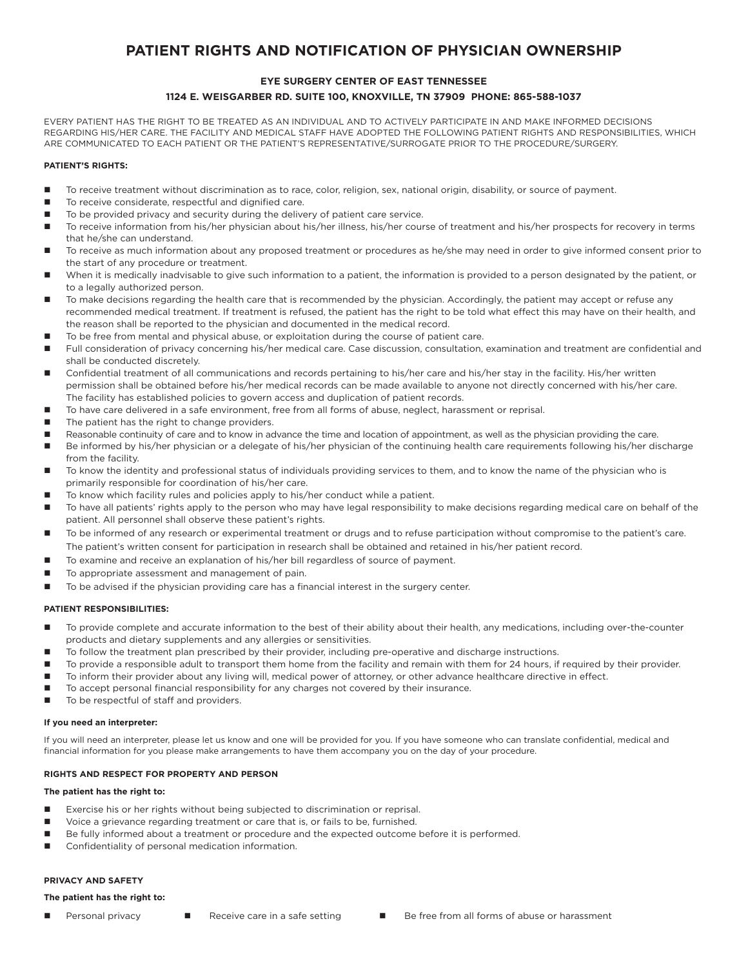# **PATIENT RIGHTS AND NOTIFICATION OF PHYSICIAN OWNERSHIP**

## **EYE SURGERY CENTER OF EAST TENNESSEE 1124 E. WEISGARBER RD. SUITE 100, KNOXVILLE, TN 37909 PHONE: 865-588-1037**

EVERY PATIENT HAS THE RIGHT TO BE TREATED AS AN INDIVIDUAL AND TO ACTIVELY PARTICIPATE IN AND MAKE INFORMED DECISIONS REGARDING HIS/HER CARE. THE FACILITY AND MEDICAL STAFF HAVE ADOPTED THE FOLLOWING PATIENT RIGHTS AND RESPONSIBILITIES, WHICH ARE COMMUNICATED TO EACH PATIENT OR THE PATIENT'S REPRESENTATIVE/SURROGATE PRIOR TO THE PROCEDURE/SURGERY.

## **PATIENT'S RIGHTS:**

- To receive treatment without discrimination as to race, color, religion, sex, national origin, disability, or source of payment.
- To receive considerate, respectful and dignified care.
- To be provided privacy and security during the delivery of patient care service.
- To receive information from his/her physician about his/her illness, his/her course of treatment and his/her prospects for recovery in terms that he/she can understand.
- To receive as much information about any proposed treatment or procedures as he/she may need in order to give informed consent prior to the start of any procedure or treatment.
- When it is medically inadvisable to give such information to a patient, the information is provided to a person designated by the patient, or to a legally authorized person.
- To make decisions regarding the health care that is recommended by the physician. Accordingly, the patient may accept or refuse any recommended medical treatment. If treatment is refused, the patient has the right to be told what effect this may have on their health, and the reason shall be reported to the physician and documented in the medical record.
- To be free from mental and physical abuse, or exploitation during the course of patient care.
- Full consideration of privacy concerning his/her medical care. Case discussion, consultation, examination and treatment are confidential and shall be conducted discretely.
- Confidential treatment of all communications and records pertaining to his/her care and his/her stay in the facility. His/her written permission shall be obtained before his/her medical records can be made available to anyone not directly concerned with his/her care. The facility has established policies to govern access and duplication of patient records.
- To have care delivered in a safe environment, free from all forms of abuse, neglect, harassment or reprisal.
- The patient has the right to change providers.
- Reasonable continuity of care and to know in advance the time and location of appointment, as well as the physician providing the care.
- Be informed by his/her physician or a delegate of his/her physician of the continuing health care requirements following his/her discharge from the facility.
- To know the identity and professional status of individuals providing services to them, and to know the name of the physician who is primarily responsible for coordination of his/her care.
- To know which facility rules and policies apply to his/her conduct while a patient.
- To have all patients' rights apply to the person who may have legal responsibility to make decisions regarding medical care on behalf of the patient. All personnel shall observe these patient's rights.
- To be informed of any research or experimental treatment or drugs and to refuse participation without compromise to the patient's care. The patient's written consent for participation in research shall be obtained and retained in his/her patient record.
- To examine and receive an explanation of his/her bill regardless of source of payment.
- To appropriate assessment and management of pain.
- To be advised if the physician providing care has a financial interest in the surgery center.

## **PATIENT RESPONSIBILITIES:**

- To provide complete and accurate information to the best of their ability about their health, any medications, including over-the-counter products and dietary supplements and any allergies or sensitivities.
- To follow the treatment plan prescribed by their provider, including pre-operative and discharge instructions.
- To provide a responsible adult to transport them home from the facility and remain with them for 24 hours, if required by their provider.
- To inform their provider about any living will, medical power of attorney, or other advance healthcare directive in effect.
	- To accept personal financial responsibility for any charges not covered by their insurance.
- To be respectful of staff and providers.

#### **If you need an interpreter:**

If you will need an interpreter, please let us know and one will be provided for you. If you have someone who can translate confidential, medical and financial information for you please make arrangements to have them accompany you on the day of your procedure.

## **RIGHTS AND RESPECT FOR PROPERTY AND PERSON**

## **The patient has the right to:**

- Exercise his or her rights without being subjected to discrimination or reprisal.
- Voice a grievance regarding treatment or care that is, or fails to be, furnished.
- Be fully informed about a treatment or procedure and the expected outcome before it is performed.
- **Confidentiality of personal medication information.**

## **PRIVACY AND SAFETY**

#### **The patient has the right to:**

- 
- 
- Personal privacy **n** Receive care in a safe setting **n Be free from all forms of abuse or harassment**